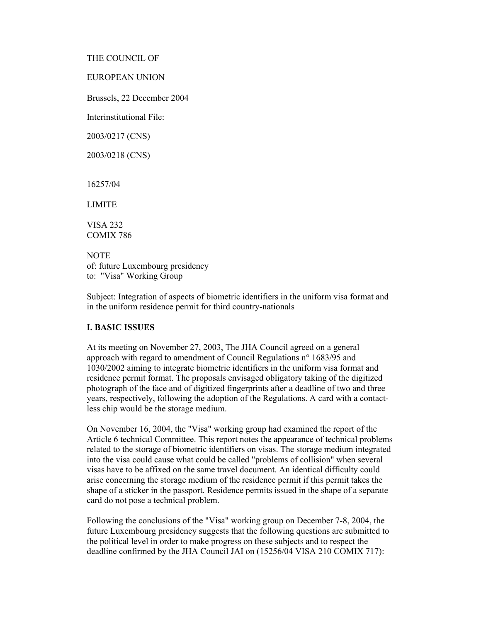THE COUNCIL OF

EUROPEAN UNION

Brussels, 22 December 2004

Interinstitutional File:

2003/0217 (CNS)

2003/0218 (CNS)

16257/04

LIMITE

VISA 232 COMIX 786

**NOTE** of: future Luxembourg presidency to: "Visa" Working Group

Subject: Integration of aspects of biometric identifiers in the uniform visa format and in the uniform residence permit for third country-nationals

## **I. BASIC ISSUES**

At its meeting on November 27, 2003, The JHA Council agreed on a general approach with regard to amendment of Council Regulations n° 1683/95 and 1030/2002 aiming to integrate biometric identifiers in the uniform visa format and residence permit format. The proposals envisaged obligatory taking of the digitized photograph of the face and of digitized fingerprints after a deadline of two and three years, respectively, following the adoption of the Regulations. A card with a contactless chip would be the storage medium.

On November 16, 2004, the "Visa" working group had examined the report of the Article 6 technical Committee. This report notes the appearance of technical problems related to the storage of biometric identifiers on visas. The storage medium integrated into the visa could cause what could be called "problems of collision" when several visas have to be affixed on the same travel document. An identical difficulty could arise concerning the storage medium of the residence permit if this permit takes the shape of a sticker in the passport. Residence permits issued in the shape of a separate card do not pose a technical problem.

Following the conclusions of the "Visa" working group on December 7-8, 2004, the future Luxembourg presidency suggests that the following questions are submitted to the political level in order to make progress on these subjects and to respect the deadline confirmed by the JHA Council JAI on (15256/04 VISA 210 COMIX 717):